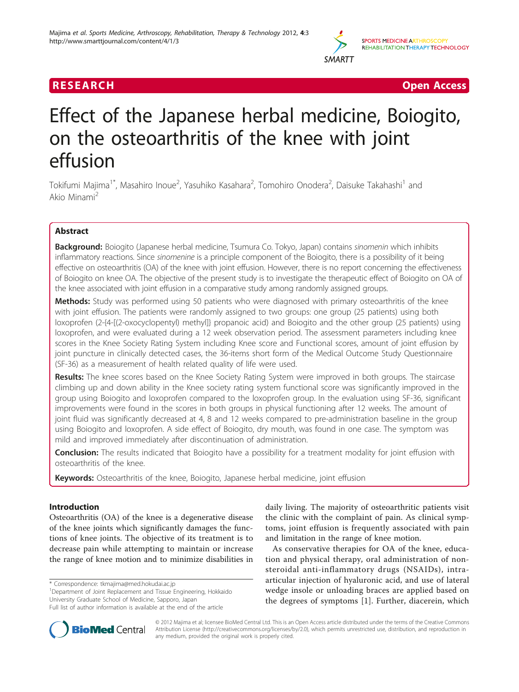

**RESEARCH Open Access** 

# Effect of the Japanese herbal medicine, Boiogito, on the osteoarthritis of the knee with joint effusion

Tokifumi Majima<sup>1\*</sup>, Masahiro Inoue<sup>2</sup>, Yasuhiko Kasahara<sup>2</sup>, Tomohiro Onodera<sup>2</sup>, Daisuke Takahashi<sup>1</sup> and Akio Minami<sup>2</sup>

## Abstract

Background: Boiogito (Japanese herbal medicine, Tsumura Co. Tokyo, Japan) contains *sinomenin* which inhibits inflammatory reactions. Since sinomenine is a principle component of the Boiogito, there is a possibility of it being effective on osteoarthritis (OA) of the knee with joint effusion. However, there is no report concerning the effectiveness of Boiogito on knee OA. The objective of the present study is to investigate the therapeutic effect of Boiogito on OA of the knee associated with joint effusion in a comparative study among randomly assigned groups.

Methods: Study was performed using 50 patients who were diagnosed with primary osteoarthritis of the knee with joint effusion. The patients were randomly assigned to two groups: one group (25 patients) using both loxoprofen (2-{4-[(2-oxocyclopentyl) methyl]} propanoic acid) and Boiogito and the other group (25 patients) using loxoprofen, and were evaluated during a 12 week observation period. The assessment parameters including knee scores in the Knee Society Rating System including Knee score and Functional scores, amount of joint effusion by joint puncture in clinically detected cases, the 36-items short form of the Medical Outcome Study Questionnaire (SF-36) as a measurement of health related quality of life were used.

Results: The knee scores based on the Knee Society Rating System were improved in both groups. The staircase climbing up and down ability in the Knee society rating system functional score was significantly improved in the group using Boiogito and loxoprofen compared to the loxoprofen group. In the evaluation using SF-36, significant improvements were found in the scores in both groups in physical functioning after 12 weeks. The amount of joint fluid was significantly decreased at 4, 8 and 12 weeks compared to pre-administration baseline in the group using Boiogito and loxoprofen. A side effect of Boiogito, dry mouth, was found in one case. The symptom was mild and improved immediately after discontinuation of administration.

**Conclusion:** The results indicated that Boiogito have a possibility for a treatment modality for joint effusion with osteoarthritis of the knee.

Keywords: Osteoarthritis of the knee, Boiogito, Japanese herbal medicine, joint effusion

## Introduction

Osteoarthritis (OA) of the knee is a degenerative disease of the knee joints which significantly damages the functions of knee joints. The objective of its treatment is to decrease pain while attempting to maintain or increase the range of knee motion and to minimize disabilities in

\* Correspondence: [tkmajima@med.hokudai.ac.jp](mailto:tkmajima@med.hokudai.ac.jp)

<sup>1</sup>Department of Joint Replacement and Tissue Engineering, Hokkaido University Graduate School of Medicine, Sapporo, Japan Full list of author information is available at the end of the article



As conservative therapies for OA of the knee, education and physical therapy, oral administration of nonsteroidal anti-inflammatory drugs (NSAIDs), intraarticular injection of hyaluronic acid, and use of lateral wedge insole or unloading braces are applied based on the degrees of symptoms [[1\]](#page-4-0). Further, diacerein, which



© 2012 Majima et al; licensee BioMed Central Ltd. This is an Open Access article distributed under the terms of the Creative Commons Attribution License [\(http://creativecommons.org/licenses/by/2.0](http://creativecommons.org/licenses/by/2.0)), which permits unrestricted use, distribution, and reproduction in any medium, provided the original work is properly cited.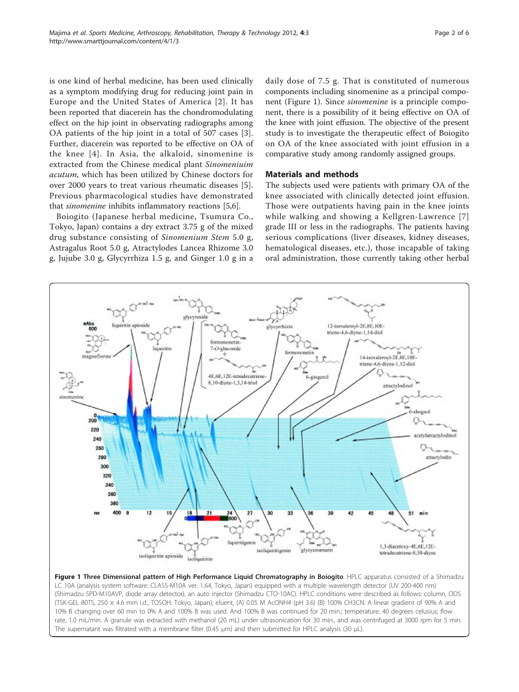is one kind of herbal medicine, has been used clinically as a symptom modifying drug for reducing joint pain in Europe and the United States of America [[2\]](#page-4-0). It has been reported that diacerein has the chondromodulating effect on the hip joint in observating radiographs among OA patients of the hip joint in a total of 507 cases [[3](#page-4-0)]. Further, diacerein was reported to be effective on OA of the knee [[4](#page-4-0)]. In Asia, the alkaloid, sinomenine is extracted from the Chinese medical plant Sinomeniuim acutum, which has been utilized by Chinese doctors for over 2000 years to treat various rheumatic diseases [[5](#page-4-0)]. Previous pharmacological studies have demonstrated that sinomenine inhibits inflammatory reactions [\[5,6](#page-4-0)].

Boiogito (Japanese herbal medicine, Tsumura Co., Tokyo, Japan) contains a dry extract 3.75 g of the mixed drug substance consisting of Sinomenium Stem 5.0 g, Astragalus Root 5.0 g, Atractylodes Lancea Rhizome 3.0 g, Jujube 3.0 g, Glycyrrhiza 1.5 g, and Ginger 1.0 g in a daily dose of 7.5 g. That is constituted of numerous components including sinomenine as a principal component (Figure 1). Since *sinomenine* is a principle component, there is a possibility of it being effective on OA of the knee with joint effusion. The objective of the present study is to investigate the therapeutic effect of Boiogito on OA of the knee associated with joint effusion in a comparative study among randomly assigned groups.

## Materials and methods

The subjects used were patients with primary OA of the knee associated with clinically detected joint effusion. Those were outpatients having pain in the knee joints while walking and showing a Kellgren-Lawrence [[7](#page-4-0)] grade III or less in the radiographs. The patients having serious complications (liver diseases, kidney diseases, hematological diseases, etc.), those incapable of taking oral administration, those currently taking other herbal



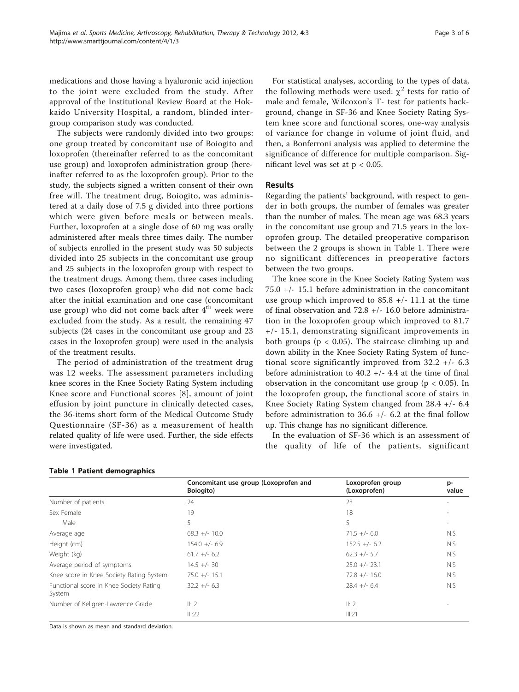medications and those having a hyaluronic acid injection to the joint were excluded from the study. After approval of the Institutional Review Board at the Hokkaido University Hospital, a random, blinded intergroup comparison study was conducted.

The subjects were randomly divided into two groups: one group treated by concomitant use of Boiogito and loxoprofen (thereinafter referred to as the concomitant use group) and loxoprofen administration group (hereinafter referred to as the loxoprofen group). Prior to the study, the subjects signed a written consent of their own free will. The treatment drug, Boiogito, was administered at a daily dose of 7.5 g divided into three portions which were given before meals or between meals. Further, loxoprofen at a single dose of 60 mg was orally administered after meals three times daily. The number of subjects enrolled in the present study was 50 subjects divided into 25 subjects in the concomitant use group and 25 subjects in the loxoprofen group with respect to the treatment drugs. Among them, three cases including two cases (loxoprofen group) who did not come back after the initial examination and one case (concomitant use group) who did not come back after  $4<sup>th</sup>$  week were excluded from the study. As a result, the remaining 47 subjects (24 cases in the concomitant use group and 23 cases in the loxoprofen group) were used in the analysis of the treatment results.

The period of administration of the treatment drug was 12 weeks. The assessment parameters including knee scores in the Knee Society Rating System including Knee score and Functional scores [[8\]](#page-4-0), amount of joint effusion by joint puncture in clinically detected cases, the 36-items short form of the Medical Outcome Study Questionnaire (SF-36) as a measurement of health related quality of life were used. Further, the side effects were investigated.

For statistical analyses, according to the types of data, the following methods were used:  $\chi^2$  tests for ratio of male and female, Wilcoxon's T- test for patients background, change in SF-36 and Knee Society Rating System knee score and functional scores, one-way analysis of variance for change in volume of joint fluid, and then, a Bonferroni analysis was applied to determine the significance of difference for multiple comparison. Significant level was set at  $p < 0.05$ .

## Results

Regarding the patients' background, with respect to gender in both groups, the number of females was greater than the number of males. The mean age was 68.3 years in the concomitant use group and 71.5 years in the loxoprofen group. The detailed preoperative comparison between the 2 groups is shown in Table 1. There were no significant differences in preoperative factors between the two groups.

The knee score in the Knee Society Rating System was 75.0 +/- 15.1 before administration in the concomitant use group which improved to  $85.8$  +/- 11.1 at the time of final observation and  $72.8 +/- 16.0$  before administration in the loxoprofen group which improved to 81.7 +/- 15.1, demonstrating significant improvements in both groups ( $p < 0.05$ ). The staircase climbing up and down ability in the Knee Society Rating System of functional score significantly improved from 32.2 +/- 6.3 before administration to 40.2  $+/-$  4.4 at the time of final observation in the concomitant use group ( $p < 0.05$ ). In the loxoprofen group, the functional score of stairs in Knee Society Rating System changed from 28.4 +/- 6.4 before administration to  $36.6$  +/- 6.2 at the final follow up. This change has no significant difference.

In the evaluation of SF-36 which is an assessment of the quality of life of the patients, significant

|                                                   | Concomitant use group (Loxoprofen and<br>Boiogito) | Loxoprofen group<br>(Loxoprofen) | p-<br>value |
|---------------------------------------------------|----------------------------------------------------|----------------------------------|-------------|
| Number of patients                                | 24                                                 | 23                               |             |
| Sex Female                                        | 19                                                 | 18                               |             |
| Male                                              | 5                                                  | 5.                               |             |
| Average age                                       | $68.3 +/- 10.0$                                    | $71.5 +/- 6.0$                   | N.S         |
| Height (cm)                                       | $154.0 +/- 6.9$                                    | $152.5 +/- 6.2$                  | N.S         |
| Weight (kg)                                       | $61.7 +/- 6.2$                                     | $62.3 +/- 5.7$                   | N.S         |
| Average period of symptoms                        | $14.5 +/- 30$                                      | $25.0 +/- 23.1$                  | N.S         |
| Knee score in Knee Society Rating System          | $75.0 +/- 15.1$                                    | $72.8 +/- 16.0$                  | N.S         |
| Functional score in Knee Society Rating<br>System | $32.2 +/- 6.3$                                     | $28.4 +/- 6.4$                   | N.S         |
| Number of Kellgren-Lawrence Grade                 | II: 2                                              | II: 2                            |             |
|                                                   | III:22                                             | III:21                           |             |

Table 1 Patient demographics

Data is shown as mean and standard deviation.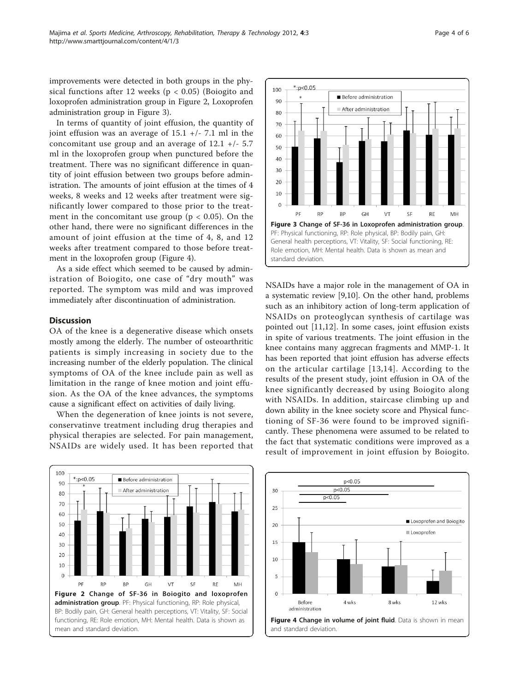improvements were detected in both groups in the physical functions after 12 weeks ( $p < 0.05$ ) (Boiogito and loxoprofen administration group in Figure 2, Loxoprofen administration group in Figure 3).

In terms of quantity of joint effusion, the quantity of joint effusion was an average of  $15.1$  +/- 7.1 ml in the concomitant use group and an average of  $12.1 +/- 5.7$ ml in the loxoprofen group when punctured before the treatment. There was no significant difference in quantity of joint effusion between two groups before administration. The amounts of joint effusion at the times of 4 weeks, 8 weeks and 12 weeks after treatment were significantly lower compared to those prior to the treatment in the concomitant use group ( $p < 0.05$ ). On the other hand, there were no significant differences in the amount of joint effusion at the time of 4, 8, and 12 weeks after treatment compared to those before treatment in the loxoprofen group (Figure 4).

As a side effect which seemed to be caused by administration of Boiogito, one case of "dry mouth" was reported. The symptom was mild and was improved immediately after discontinuation of administration.

## **Discussion**

OA of the knee is a degenerative disease which onsets mostly among the elderly. The number of osteoarthritic patients is simply increasing in society due to the increasing number of the elderly population. The clinical symptoms of OA of the knee include pain as well as limitation in the range of knee motion and joint effusion. As the OA of the knee advances, the symptoms cause a significant effect on activities of daily living.

When the degeneration of knee joints is not severe, conservatinve treatment including drug therapies and physical therapies are selected. For pain management, NSAIDs are widely used. It has been reported that



NSAIDs have a major role in the management of OA in a systematic review [\[9,10](#page-4-0)]. On the other hand, problems such as an inhibitory action of long-term application of NSAIDs on proteoglycan synthesis of cartilage was pointed out [[11,12\]](#page-4-0). In some cases, joint effusion exists in spite of various treatments. The joint effusion in the knee contains many aggrecan fragments and MMP-1. It has been reported that joint effusion has adverse effects on the articular cartilage [[13](#page-4-0),[14\]](#page-4-0). According to the results of the present study, joint effusion in OA of the knee significantly decreased by using Boiogito along with NSAIDs. In addition, staircase climbing up and down ability in the knee society score and Physical functioning of SF-36 were found to be improved significantly. These phenomena were assumed to be related to the fact that systematic conditions were improved as a result of improvement in joint effusion by Boiogito.



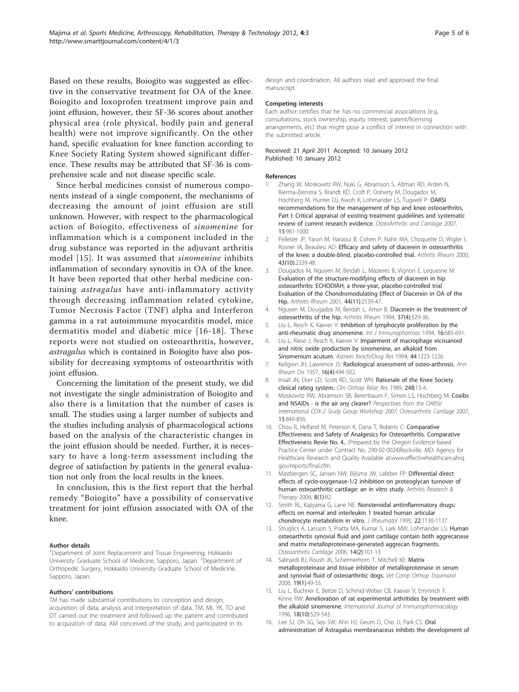<span id="page-4-0"></span>Based on these results, Boiogito was suggested as effective in the conservative treatment for OA of the knee. Boiogito and loxoprofen treatment improve pain and joint effusion, however, their SF-36 scores about another physical area (role physical, bodily pain and general health) were not improve significantly. On the other hand, specific evaluation for knee function according to Knee Society Rating System showed significant difference. These results may be attributed that SF-36 is comprehensive scale and not disease specific scale.

Since herbal medicines consist of numerous components instead of a single component, the mechanisms of decreasing the amount of joint effusion are still unknown. However, with respect to the pharmacological action of Boiogito, effectiveness of sinomenine for inflammation which is a component included in the drug substance was reported in the adjuvant arthritis model [15]. It was assumed that sinomenine inhibits inflammation of secondary synovitis in OA of the knee. It have been reported that other herbal medicine containing astragalus have anti-inflammatory activity through decreasing inflammation related cytokine, Tumor Necrosis Factor (TNF) alpha and Interferon gamma in a rat autoimmune myocarditis model, mice dermatitis model and diabetic mice [16-[18\]](#page-5-0). These reports were not studied on osteoarthritis, however, astragalus which is contained in Boiogito have also possibility for decreasing symptoms of osteoarthritis with joint effusion.

Concerning the limitation of the present study, we did not investigate the single administration of Boiogito and also there is a limitation that the number of cases is small. The studies using a larger number of subjects and the studies including analysis of pharmacological actions based on the analysis of the characteristic changes in the joint effusion should be needed. Further, it is necessary to have a long-term assessment including the degree of satisfaction by patients in the general evaluation not only from the local results in the knees.

In conclusion, this is the first report that the herbal remedy "Boiogito" have a possibility of conservative treatment for joint effusion associated with OA of the knee.

#### Author details

<sup>1</sup>Department of Joint Replacement and Tissue Engineering, Hokkaido University Graduate School of Medicine, Sapporo, Japan. <sup>2</sup>Department of Orthopedic Surgery, Hokkaido University Graduate School of Medicine, Sapporo, Japan.

### Authors' contributions

TM has made substantial contributions to conception and design. acquisition of data, analysis and interpretation of data. TM, MI, YK, TO and DT carried out the treatment and followed up the patient and contributed to acquisition of data. AM conceived of the study, and participated in its

design and coordination. All authors read and approved the final manuscript.

#### Competing interests

Each author certifies that he has no commercial associations (e.g. consultations, stock ownership, equity interest, patent/licensing arrangements, etc) that might pose a conflict of interest in connection with the submitted article.

#### Received: 21 April 2011 Accepted: 10 January 2012 Published: 10 January 2012

#### References

- 1. Zhang W, Moskowitz RW, Nuki G, Abramson S, Altman RD, Arden N, Bierma-Zeinstra S, Brandt KD, Croft P, Doherty M, Dougados M, Hochberg M, Hunter DJ, Kwoh K, Lohmander LS, Tugwell P: [OARSI](http://www.ncbi.nlm.nih.gov/pubmed/17719803?dopt=Abstract) [recommendations for the management of hip and knee osteoarthritis,](http://www.ncbi.nlm.nih.gov/pubmed/17719803?dopt=Abstract) [Part I: Critical appraisal of existing treatment guidelines and systematic](http://www.ncbi.nlm.nih.gov/pubmed/17719803?dopt=Abstract) [review of current research evidence.](http://www.ncbi.nlm.nih.gov/pubmed/17719803?dopt=Abstract) OsteoArthritis and Cartilage 2007, 15:981-1000.
- 2. Pelletier JP, Yaron M, Haraoui B, Cohen P, Nahir MA, Choquette D, Wigler I, Rosner IA, Beaulieu AD: [Efficacy and safety of diacerein in osteoarthritis](http://www.ncbi.nlm.nih.gov/pubmed/11037895?dopt=Abstract) [of the knee: a double-blind, placebo-controlled trial.](http://www.ncbi.nlm.nih.gov/pubmed/11037895?dopt=Abstract) Arthritis Rheum 2000, 43(10):2339-48.
- 3. Dougados M, Nguyen M, Berdah L, Mazieres B, Vignon E, Lequesne M: [Evaluation of the structure-modifying effects of diacerein in hip](http://www.ncbi.nlm.nih.gov/pubmed/11710710?dopt=Abstract) [osteoarthritis: ECHODIAH, a three-year, placebo-controlled trial](http://www.ncbi.nlm.nih.gov/pubmed/11710710?dopt=Abstract) [Evaluation of the Chondromodulating Effect of Diacerein in OA of the](http://www.ncbi.nlm.nih.gov/pubmed/11710710?dopt=Abstract) [Hip.](http://www.ncbi.nlm.nih.gov/pubmed/11710710?dopt=Abstract) Arthritis Rheum 2001, 44(11):2539-47.
- 4. Nguyen M, Dougados M, Berdah L, Amor B: [Diacerein in the treatment of](http://www.ncbi.nlm.nih.gov/pubmed/8147930?dopt=Abstract) [osteoarthritis of the hip.](http://www.ncbi.nlm.nih.gov/pubmed/8147930?dopt=Abstract) Arthritis Rheum 1994, 37(4):529-36.
- 5. Liu L, Resch K, Kaever V: Inhibition of lymphocyte proliferation by the anti-rheumatic drug sinomenine. Int J Immunopharmac 1994, 16:685-691.
- 6. Liu L, Riese J, Resch K, Kaever V: Impairment of macrophage eicosanoid and nitric oxide production by sinomenine, an alkaloid from Sinomenium acutum. Arznein forsch/Drug Res 1994, 44:1223-1226.
- 7. Kellgren JH, Lawrence JS: [Radiological assessment of osteo-arthrosis.](http://www.ncbi.nlm.nih.gov/pubmed/13498604?dopt=Abstract) Ann Rheum Dis 1957, 16(4):494-502.
- 8. Insall JN, Dorr LD, Scott RD, Scott WN: [Rationale of the Knee Society](http://www.ncbi.nlm.nih.gov/pubmed/2805470?dopt=Abstract) [clinical rating system.](http://www.ncbi.nlm.nih.gov/pubmed/2805470?dopt=Abstract) Clin Orthop Relat Res 1989, 248:13-4.
- 9. Moskowitz RW, Abramson SB, Berenbaum F, Simon LS, Hochberg M: Coxibs and NSAIDs - is the air any clearer? Perspectives from the OARSI/ International COX-2 Study Group Workshop 2007, Osteoarthritis Cartilage 2007, 15:849-856.
- 10. Chou R, Helfand M, Peterson K, Dana T, Roberts C: Comparative Effectiveness and Safety of Analgesics for Osteoarthritis. Comparative Effectiveness Revie No. 4., (Prepared by the Oregon Evidence-based Practice Center under Contract No. 290-02-0024)Rockville, MD: Agency for Healthcare Research and Quality Available at:www.effectivehealthcare.ahrq. gov/reports/final.cfm.
- 11. Mastbergen SC, Jansen NW, Bijlsma JW, Lafeber FP: [Differential direct](http://www.ncbi.nlm.nih.gov/pubmed/22235253?dopt=Abstract) [effects of cyclo-oxygenase-1/2 inhibition on proteoglycan turnover of](http://www.ncbi.nlm.nih.gov/pubmed/22235253?dopt=Abstract) [human osteoarthritic cartilage: an in vitro study.](http://www.ncbi.nlm.nih.gov/pubmed/22235253?dopt=Abstract) Arthritis Research & Therapy 2006, 8(1):R2.
- 12. Smith RL, Kajiyama G, Lane NE: [Nonsteroidal antiinflammatory drugs:](http://www.ncbi.nlm.nih.gov/pubmed/7674242?dopt=Abstract) [effects on normal and interleukin 1 treated human articular](http://www.ncbi.nlm.nih.gov/pubmed/7674242?dopt=Abstract) [chondrocyte metabolism in vitro.](http://www.ncbi.nlm.nih.gov/pubmed/7674242?dopt=Abstract) J Rheumatol 1995, 22:1130-1137.
- 13. Struglics A, Larsson S, Pratta MA, Kumar S, Lark MW, Lohmander LS: [Human](http://www.ncbi.nlm.nih.gov/pubmed/16188468?dopt=Abstract) [osteoarthritis synovial fluid and joint cartilage contain both aggrecanase](http://www.ncbi.nlm.nih.gov/pubmed/16188468?dopt=Abstract) [and matrix metalloproteinase-generated aggrecan fragments.](http://www.ncbi.nlm.nih.gov/pubmed/16188468?dopt=Abstract) Osteoarthritis Cartilage 2006, 14(2):101-13.
- 14. Salinardi BJ, Roush JK, Schermerhorn T, Mitchell KE: [Matrix](http://www.ncbi.nlm.nih.gov/pubmed/16594544?dopt=Abstract) [metalloproteinase and tissue inhibitor of metalloproteinase in serum](http://www.ncbi.nlm.nih.gov/pubmed/16594544?dopt=Abstract) [and synovial fluid of osteoarthritic dogs.](http://www.ncbi.nlm.nih.gov/pubmed/16594544?dopt=Abstract) Vet Comp Orthop Traumatol 2006, 19(1):49-55.
- 15. Liu L, Buchner E, Beitze D, Schmid-Weber CB, Kaever V, Emmrich F, Kinne RW: [Amelioration of rat experimental arthritides by treatment with](http://www.ncbi.nlm.nih.gov/pubmed/9080247?dopt=Abstract) [the alkaloid sinomenine.](http://www.ncbi.nlm.nih.gov/pubmed/9080247?dopt=Abstract) International Journal of Immunopharmacology 1996, 18(10):529-543.
- 16. Lee SJ, Oh SG, Seo SW, Ahn HJ, Geum D, Cho JJ, Park CS: [Oral](http://www.ncbi.nlm.nih.gov/pubmed/17666805?dopt=Abstract) [administration of Astragalus membranaceus inhibits the development of](http://www.ncbi.nlm.nih.gov/pubmed/17666805?dopt=Abstract)